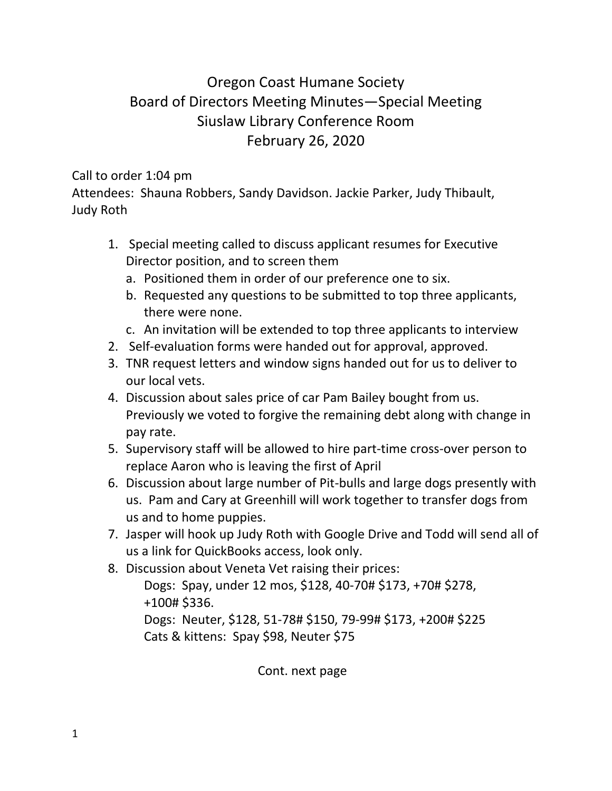## Oregon Coast Humane Society Board of Directors Meeting Minutes—Special Meeting Siuslaw Library Conference Room February 26, 2020

## Call to order 1:04 pm

Attendees: Shauna Robbers, Sandy Davidson. Jackie Parker, Judy Thibault, Judy Roth

- 1. Special meeting called to discuss applicant resumes for Executive Director position, and to screen them
	- a. Positioned them in order of our preference one to six.
	- b. Requested any questions to be submitted to top three applicants, there were none.
	- c. An invitation will be extended to top three applicants to interview
- 2. Self-evaluation forms were handed out for approval, approved.
- 3. TNR request letters and window signs handed out for us to deliver to our local vets.
- 4. Discussion about sales price of car Pam Bailey bought from us. Previously we voted to forgive the remaining debt along with change in pay rate.
- 5. Supervisory staff will be allowed to hire part-time cross-over person to replace Aaron who is leaving the first of April
- 6. Discussion about large number of Pit-bulls and large dogs presently with us. Pam and Cary at Greenhill will work together to transfer dogs from us and to home puppies.
- 7. Jasper will hook up Judy Roth with Google Drive and Todd will send all of us a link for QuickBooks access, look only.
- 8. Discussion about Veneta Vet raising their prices:

Dogs: Spay, under 12 mos, \$128, 40-70# \$173, +70# \$278, +100# \$336. Dogs: Neuter, \$128, 51-78# \$150, 79-99# \$173, +200# \$225

Cats & kittens: Spay \$98, Neuter \$75

Cont. next page